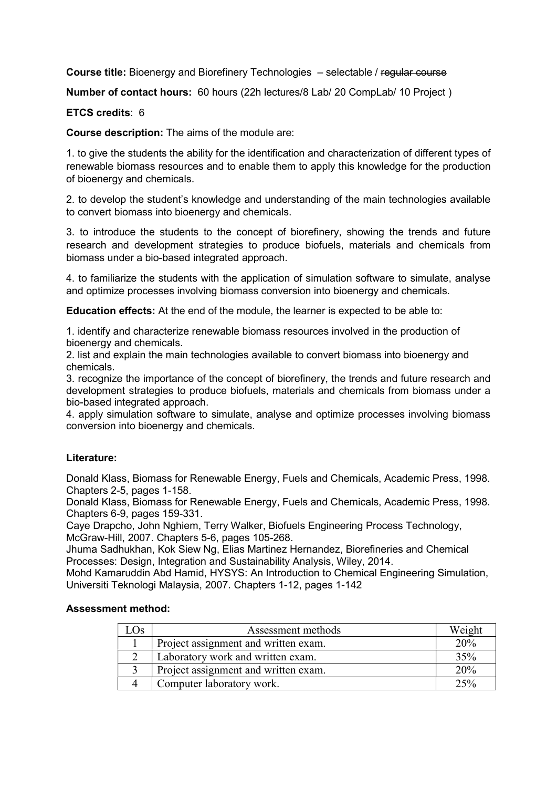Course title: Bioenergy and Biorefinery Technologies – selectable / regular course

Number of contact hours: 60 hours (22h lectures/8 Lab/ 20 CompLab/ 10 Project )

## ETCS credits: 6

Course description: The aims of the module are:

1. to give the students the ability for the identification and characterization of different types of renewable biomass resources and to enable them to apply this knowledge for the production of bioenergy and chemicals.

2. to develop the student's knowledge and understanding of the main technologies available to convert biomass into bioenergy and chemicals.

3. to introduce the students to the concept of biorefinery, showing the trends and future research and development strategies to produce biofuels, materials and chemicals from biomass under a bio-based integrated approach.

4. to familiarize the students with the application of simulation software to simulate, analyse and optimize processes involving biomass conversion into bioenergy and chemicals.

Education effects: At the end of the module, the learner is expected to be able to:

1. identify and characterize renewable biomass resources involved in the production of bioenergy and chemicals.

2. list and explain the main technologies available to convert biomass into bioenergy and chemicals.

3. recognize the importance of the concept of biorefinery, the trends and future research and development strategies to produce biofuels, materials and chemicals from biomass under a bio-based integrated approach.

4. apply simulation software to simulate, analyse and optimize processes involving biomass conversion into bioenergy and chemicals.

## Literature:

Donald Klass, Biomass for Renewable Energy, Fuels and Chemicals, Academic Press, 1998. Chapters 2-5, pages 1-158.

Donald Klass, Biomass for Renewable Energy, Fuels and Chemicals, Academic Press, 1998. Chapters 6-9, pages 159-331.

Caye Drapcho, John Nghiem, Terry Walker, Biofuels Engineering Process Technology, McGraw-Hill, 2007. Chapters 5-6, pages 105-268.

Jhuma Sadhukhan, Kok Siew Ng, Elias Martinez Hernandez, Biorefineries and Chemical Processes: Design, Integration and Sustainability Analysis, Wiley, 2014.

Mohd Kamaruddin Abd Hamid, HYSYS: An Introduction to Chemical Engineering Simulation, Universiti Teknologi Malaysia, 2007. Chapters 1-12, pages 1-142

## Assessment method:

| $\Lambda$ | Assessment methods                   | Weight |
|-----------|--------------------------------------|--------|
|           | Project assignment and written exam. | 20%    |
|           | Laboratory work and written exam.    | 35%    |
|           | Project assignment and written exam. | 20%    |
|           | Computer laboratory work.            | 25%    |